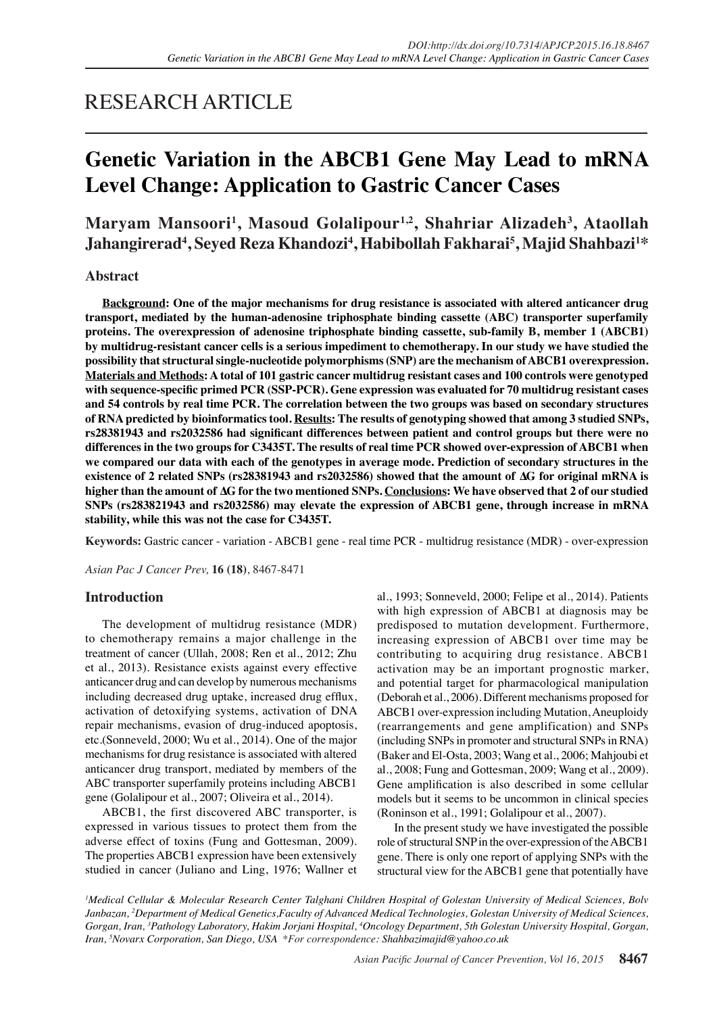## RESEARCH ARTICLE

# **Genetic Variation in the ABCB1 Gene May Lead to mRNA Level Change: Application to Gastric Cancer Cases**

## **Maryam Mansoori1 , Masoud Golalipour1,2, Shahriar Alizadeh3 , Ataollah Jahangirerad4 , Seyed Reza Khandozi<sup>4</sup> , Habibollah Fakharai5 , Majid Shahbazi1 \***

## **Abstract**

**Background: One of the major mechanisms for drug resistance is associated with altered anticancer drug transport, mediated by the human-adenosine triphosphate binding cassette (ABC) transporter superfamily proteins. The overexpression of adenosine triphosphate binding cassette, sub-family B, member 1 (ABCB1) by multidrug-resistant cancer cells is a serious impediment to chemotherapy. In our study we have studied the possibility that structural single-nucleotide polymorphisms (SNP) are the mechanism of ABCB1 overexpression. Materials and Methods: A total of 101 gastric cancer multidrug resistant cases and 100 controls were genotyped with sequence-specific primed PCR (SSP-PCR). Gene expression was evaluated for 70 multidrug resistant cases and 54 controls by real time PCR. The correlation between the two groups was based on secondary structures of RNA predicted by bioinformatics tool. Results: The results of genotyping showed that among 3 studied SNPs, rs28381943 and rs2032586 had significant differences between patient and control groups but there were no differences in the two groups for C3435T. The results of real time PCR showed over-expression of ABCB1 when we compared our data with each of the genotypes in average mode. Prediction of secondary structures in the existence of 2 related SNPs (rs28381943 and rs2032586) showed that the amount of ∆G for original mRNA is higher than the amount of ∆G for the two mentioned SNPs. Conclusions: We have observed that 2 of our studied SNPs (rs283821943 and rs2032586) may elevate the expression of ABCB1 gene, through increase in mRNA stability, while this was not the case for C3435T.**

**Keywords:** Gastric cancer - variation - ABCB1 gene - real time PCR - multidrug resistance (MDR) - over-expression

*Asian Pac J Cancer Prev,* **16 (18)**, 8467-8471

## **Introduction**

The development of multidrug resistance (MDR) to chemotherapy remains a major challenge in the treatment of cancer (Ullah, 2008; Ren et al., 2012; Zhu et al., 2013). Resistance exists against every effective anticancer drug and can develop by numerous mechanisms including decreased drug uptake, increased drug efflux, activation of detoxifying systems, activation of DNA repair mechanisms, evasion of drug-induced apoptosis, etc.(Sonneveld, 2000; Wu et al., 2014). One of the major mechanisms for drug resistance is associated with altered anticancer drug transport, mediated by members of the ABC transporter superfamily proteins including ABCB1 gene (Golalipour et al., 2007; Oliveira et al., 2014).

ABCB1, the first discovered ABC transporter, is expressed in various tissues to protect them from the adverse effect of toxins (Fung and Gottesman, 2009). The properties ABCB1 expression have been extensively studied in cancer (Juliano and Ling, 1976; Wallner et al., 1993; Sonneveld, 2000; Felipe et al., 2014). Patients with high expression of ABCB1 at diagnosis may be predisposed to mutation development. Furthermore, increasing expression of ABCB1 over time may be contributing to acquiring drug resistance. ABCB1 activation may be an important prognostic marker, and potential target for pharmacological manipulation (Deborah et al., 2006). Different mechanisms proposed for ABCB1 over-expression including Mutation, Aneuploidy (rearrangements and gene amplification) and SNPs (including SNPs in promoter and structural SNPs in RNA) (Baker and El-Osta, 2003; Wang et al., 2006; Mahjoubi et al., 2008; Fung and Gottesman, 2009; Wang et al., 2009). Gene amplification is also described in some cellular models but it seems to be uncommon in clinical species (Roninson et al., 1991; Golalipour et al., 2007).

In the present study we have investigated the possible role of structural SNP in the over-expression of the ABCB1 gene. There is only one report of applying SNPs with the structural view for the ABCB1 gene that potentially have

*1 Medical Cellular & Molecular Research Center Talghani Children Hospital of Golestan University of Medical Sciences, Bolv Janbazan, 2 Department of Medical Genetics,Faculty of Advanced Medical Technologies, Golestan University of Medical Sciences,*  Gorgan, Iran, <sup>3</sup>Pathology Laboratory, Hakim Jorjani Hospital, <sup>4</sup>Oncology Department, 5th Golestan University Hospital, Gorgan, *Iran, 5 Novarx Corporation, San Diego, USA \*For correspondence: Shahbazimajid@yahoo.co.uk*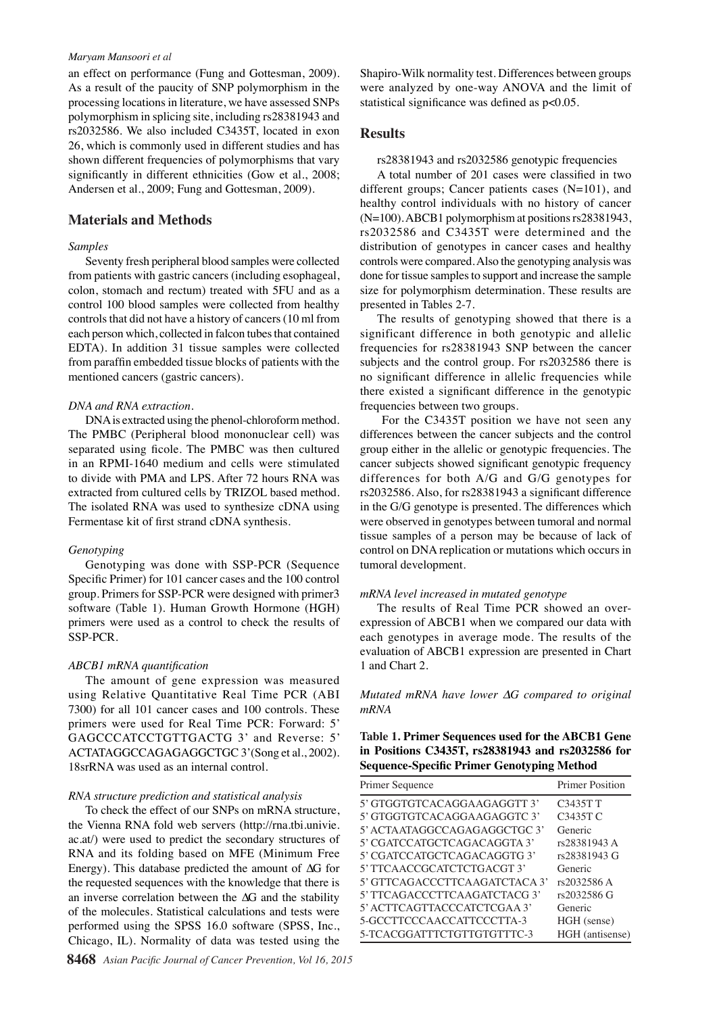#### *Maryam Mansoori et al*

an effect on performance (Fung and Gottesman, 2009). As a result of the paucity of SNP polymorphism in the processing locations in literature, we have assessed SNPs polymorphism in splicing site, including rs28381943 and rs2032586. We also included C3435T, located in exon 26, which is commonly used in different studies and has shown different frequencies of polymorphisms that vary significantly in different ethnicities (Gow et al., 2008; Andersen et al., 2009; Fung and Gottesman, 2009).

## **Materials and Methods**

## *Samples*

Seventy fresh peripheral blood samples were collected from patients with gastric cancers (including esophageal, colon, stomach and rectum) treated with 5FU and as a control 100 blood samples were collected from healthy controls that did not have a history of cancers (10 ml from each person which, collected in falcon tubes that contained EDTA). In addition 31 tissue samples were collected from paraffin embedded tissue blocks of patients with the mentioned cancers (gastric cancers).

#### *DNA and RNA extraction.*

DNA is extracted using the phenol-chloroform method. The PMBC (Peripheral blood mononuclear cell) was separated using ficole. The PMBC was then cultured in an RPMI-1640 medium and cells were stimulated to divide with PMA and LPS. After 72 hours RNA was extracted from cultured cells by TRIZOL based method. The isolated RNA was used to synthesize cDNA using Fermentase kit of first strand cDNA synthesis.

#### *Genotyping*

Genotyping was done with SSP-PCR (Sequence Specific Primer) for 101 cancer cases and the 100 control group. Primers for SSP-PCR were designed with primer3 software (Table 1). Human Growth Hormone (HGH) primers were used as a control to check the results of SSP-PCR.

#### *ABCB1 mRNA quantification*

The amount of gene expression was measured using Relative Quantitative Real Time PCR (ABI 7300) for all 101 cancer cases and 100 controls. These primers were used for Real Time PCR: Forward: 5' GAGCCCATCCTGTTGACTG 3' and Reverse: 5' ACTATAGGCCAGAGAGGCTGC 3'(Song et al., 2002). 18srRNA was used as an internal control.

#### *RNA structure prediction and statistical analysis*

To check the effect of our SNPs on mRNA structure, the Vienna RNA fold web servers (http://rna.tbi.univie. ac.at/) were used to predict the secondary structures of RNA and its folding based on MFE (Minimum Free Energy). This database predicted the amount of ∆G for the requested sequences with the knowledge that there is an inverse correlation between the ∆G and the stability of the molecules. Statistical calculations and tests were performed using the SPSS 16.0 software (SPSS, Inc., Chicago, IL). Normality of data was tested using the

Shapiro-Wilk normality test. Differences between groups were analyzed by one-way ANOVA and the limit of statistical significance was defined as p<0.05.

### **Results**

rs28381943 and rs2032586 genotypic frequencies

A total number of 201 cases were classified in two different groups; Cancer patients cases (N=101), and healthy control individuals with no history of cancer (N=100). ABCB1 polymorphism at positions rs28381943, rs2032586 and C3435T were determined and the distribution of genotypes in cancer cases and healthy controls were compared. Also the genotyping analysis was done for tissue samples to support and increase the sample size for polymorphism determination. These results are presented in Tables 2-7.

The results of genotyping showed that there is a significant difference in both genotypic and allelic frequencies for rs28381943 SNP between the cancer subjects and the control group. For rs2032586 there is no significant difference in allelic frequencies while there existed a significant difference in the genotypic frequencies between two groups.

 For the C3435T position we have not seen any differences between the cancer subjects and the control group either in the allelic or genotypic frequencies. The cancer subjects showed significant genotypic frequency differences for both A/G and G/G genotypes for rs2032586. Also, for rs28381943 a significant difference in the G/G genotype is presented. The differences which were observed in genotypes between tumoral and normal tissue samples of a person may be because of lack of control on DNA replication or mutations which occurs in tumoral development.

#### *mRNA level increased in mutated genotype*

The results of Real Time PCR showed an overexpression of ABCB1 when we compared our data with each genotypes in average mode. The results of the evaluation of ABCB1 expression are presented in Chart 1 and Chart 2.

## *Mutated mRNA have lower ∆G compared to original mRNA*

## **Table 1. Primer Sequences used for the ABCB1 Gene in Positions C3435T, rs28381943 and rs2032586 for Sequence-Specific Primer Genotyping Method**

| Primer Sequence               | <b>Primer Position</b>   |
|-------------------------------|--------------------------|
| 5' GTGGTGTCACAGGAAGAGGTT 3'   | C3435T T                 |
| 5' GTGGTGTCACAGGAAGAGGTC 3'   | C3435T C                 |
| 5' ACTA ATAGGCCAGAGAGGCTGC 3' | Generic                  |
| 5' CGATCCATGCTCAGACAGGTA 3'   | rs28381943 A             |
| 5' CGATCCATGCTCAGACAGGTG 3'   | rs28381943 G             |
| 5' TTCAACCGCATCTCTGACGT 3'    | Generic                  |
| 5' GTTCAGACCCTTCAAGATCTACA 3' | 100.0<br>rs2032586 A     |
| 5' TTCAGACCCTTCAAGATCTACG 3'  | rs2032586 G              |
| 5' ACTTCAGTTACCCATCTCGAA 3'   | Generic                  |
| 5-GCCTTCCCAACCATTCCCTTA-3     | HGH (sense)              |
| 5-TCACGGATTTCTGTTGTGTTTC-3    | $HGH$ (antisense) $75.0$ |

**20.3 6.3 10.1**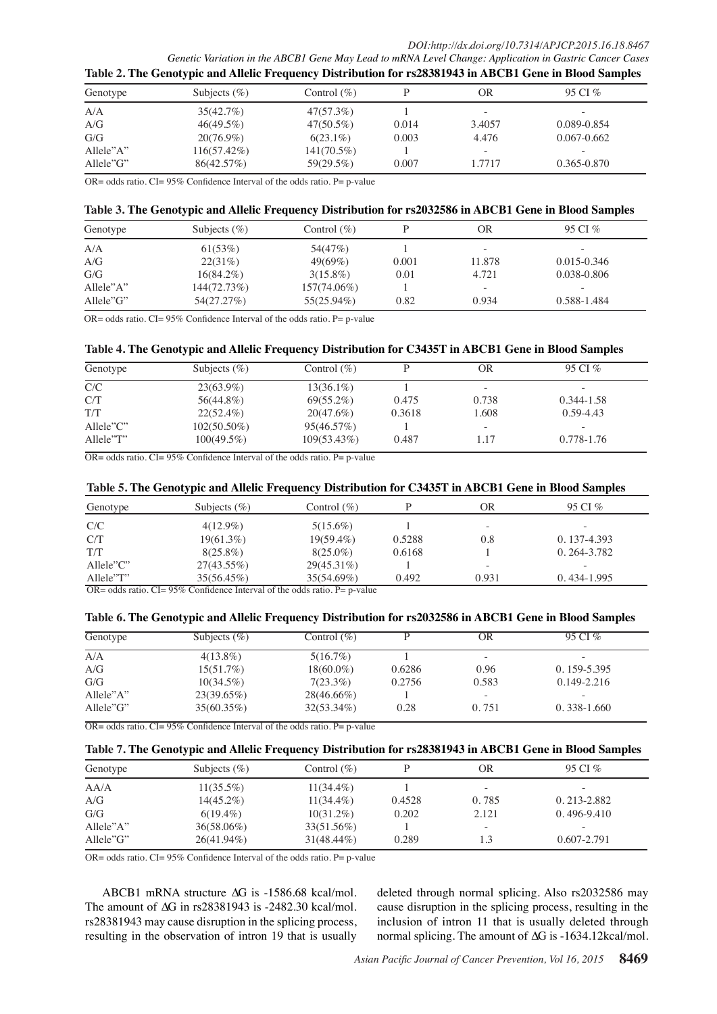*DOI:http://dx.doi.org/10.7314/APJCP.2015.16.18.8467*

*Genetic Variation in the ABCB1 Gene May Lead to mRNA Level Change: Application in Gastric Cancer Cases* **Table 2. The Genotypic and Allelic Frequency Distribution for rs28381943 in ABCB1 Gene in Blood Samples**

|           | . .             |                |       |        |                          |
|-----------|-----------------|----------------|-------|--------|--------------------------|
| Genotype  | Subjects $(\%)$ | Control $(\%)$ |       | OR     | 95 CI %                  |
| A/A       | 35(42.7%)       | 47(57.3%)      |       |        |                          |
| A/G       | $46(49.5\%)$    | $47(50.5\%)$   | 0.014 | 3.4057 | 0.089-0.854              |
| G/G       | $20(76.9\%)$    | $6(23.1\%)$    | 0.003 | 4.476  | $0.067 - 0.662$          |
| Allele"A" | $116(57.42\%)$  | $141(70.5\%)$  |       | -      | $\overline{\phantom{a}}$ |
| Allele"G" | 86(42.57%)      | 59(29.5%)      | 0.007 | 1.7717 | 0.365-0.870              |

OR= odds ratio. CI=  $95\%$  Confidence Interval of the odds ratio. P= p-value

#### **Table 3. The Genotypic and Allelic Frequency Distribution for rs2032586 in ABCB1 Gene in Blood Samples**

| Genotype  | Subjects $(\% )$ | Control $(\%)$ |       | OR                       | 95 CI %     |
|-----------|------------------|----------------|-------|--------------------------|-------------|
| A/A       | 61(53%)          | 54(47\%)       |       | $\sim$                   |             |
| A/G       | 22(31%)          | $49(69\%)$     | 0.001 | 11.878                   | 0.015-0.346 |
| G/G       | $16(84.2\%)$     | $3(15.8\%)$    | 0.01  | 4.721                    | 0.038-0.806 |
| Allele"A" | 144(72.73%)      | $157(74.06\%)$ |       | $\overline{\phantom{a}}$ | -           |
| Allele"G" | 54(27.27%)       | 55(25.94%)     | 0.82  | 0.934                    | 0.588-1.484 |

OR= odds ratio. CI=  $95\%$  Confidence Interval of the odds ratio. P= p-value

## **Table 4. The Genotypic and Allelic Frequency Distribution for C3435T in ABCB1 Gene in Blood Samples**

| Genotype                  | Subjects $(\%)$ | Control $(\%)$ |        | OR                       | 95 CI %       |
|---------------------------|-----------------|----------------|--------|--------------------------|---------------|
| C/C                       | $23(63.9\%)$    | $13(36.1\%)$   |        |                          |               |
| C/T                       | 56(44.8%)       | $69(55.2\%)$   | 0.475  | 0.738                    | 0.344-1.58    |
| T/T                       | $22(52.4\%)$    | $20(47.6\%)$   | 0.3618 | 1.608                    | $0.59 - 4.43$ |
| $\text{Allele} \text{?}C$ | $102(50.50\%)$  | 95(46.57%)     |        | $\overline{\phantom{a}}$ |               |
| Allele"T"                 | $100(49.5\%)$   | 109(53.43%)    | 0.487  | 1.17                     | 0.778-1.76    |

 $OR = odds ratio$ .  $CI = 95\%$  Confidence Interval of the odds ratio.  $P = p$ -value

#### **Table 5. The Genotypic and Allelic Frequency Distribution for C3435T in ABCB1 Gene in Blood Samples**

| Subjects $(\% )$ | Control (%)   |                                                                                            | ЭR     | 95 CI %     |
|------------------|---------------|--------------------------------------------------------------------------------------------|--------|-------------|
| $4(12.9\%)$      | $5(15.6\%)$   |                                                                                            | $\sim$ | $\sim$      |
| 19(61.3%)        | $19(59.4\%)$  | 0.5288                                                                                     | 0.8    | 0.137-4.393 |
| $8(25.8\%)$      | $8(25.0\%)$   | 0.6168                                                                                     |        | 0.264-3.782 |
| $27(43.55\%)$    | $29(45.31\%)$ |                                                                                            | -      | $\sim$      |
| 35(56.45%)       | 35(54.69%)    | 0.492                                                                                      | 0.931  | 0.434-1.995 |
|                  |               | $OD = 11, \ldots 1$ $CI = 050t$ $C = 0.41, \ldots 1$ $I_{\text{other}} = 1.64, \ldots 1.1$ |        |             |

 $OR = odds ratio$ .  $CI = 95\%$  Confidence Interval of the odds ratio. P= p-value

#### **Table 6. The Genotypic and Allelic Frequency Distribution for rs2032586 in ABCB1 Gene in Blood Samples**

| Genotype     | Subjects $(\% )$ | Control $(\%)$ |        | OR    | 95 CI %                  |
|--------------|------------------|----------------|--------|-------|--------------------------|
| A/A          | $4(13.8\%)$      | 5(16.7%)       |        | -     | $\overline{\phantom{a}}$ |
| A/G          | 15(51.7%)        | $18(60.0\%)$   | 0.6286 | 0.96  | $0.159 - 5.395$          |
| G/G          | $10(34.5\%)$     | $7(23.3\%)$    | 0.2756 | 0.583 | $0.149 - 2.216$          |
| Allele $A$ " | 23(39.65%)       | $28(46.66\%)$  |        | -     | -                        |
| Allele"G"    | $35(60.35\%)$    | $32(53.34\%)$  | 0.28   | 0.751 | $0.338 - 1.660$          |

 $OR = odds ratio$ .  $CI = 95\%$  Confidence Interval of the odds ratio. P= p-value

#### **Table 7. The Genotypic and Allelic Frequency Distribution for rs28381943 in ABCB1 Gene in Blood Samples**

| Genotype  | Subjects $(\%)$ | Control $(\% )$ |        | OR                       | 95 CI %         |
|-----------|-----------------|-----------------|--------|--------------------------|-----------------|
| A A/A     | $11(35.5\%)$    | $11(34.4\%)$    |        | -                        |                 |
| A/G       | $14(45.2\%)$    | $11(34.4\%)$    | 0.4528 | 0.785                    | $0.213 - 2.882$ |
| G/G       | $6(19.4\%)$     | $10(31.2\%)$    | 0.202  | 2.121                    | $0.496 - 9.410$ |
| Allele"A" | $36(58.06\%)$   | 33(51.56%)      |        | $\overline{\phantom{a}}$ |                 |
| Allele"G" | $26(41.94\%)$   | $31(48.44\%)$   | 0.289  |                          | 0.607-2.791     |

OR= odds ratio. CI=  $95\%$  Confidence Interval of the odds ratio. P= p-value

ABCB1 mRNA structure ∆G is -1586.68 kcal/mol. The amount of ∆G in rs28381943 is -2482.30 kcal/mol. rs28381943 may cause disruption in the splicing process, resulting in the observation of intron 19 that is usually

deleted through normal splicing. Also rs2032586 may cause disruption in the splicing process, resulting in the inclusion of intron 11 that is usually deleted through normal splicing. The amount of ∆G is -1634.12kcal/mol.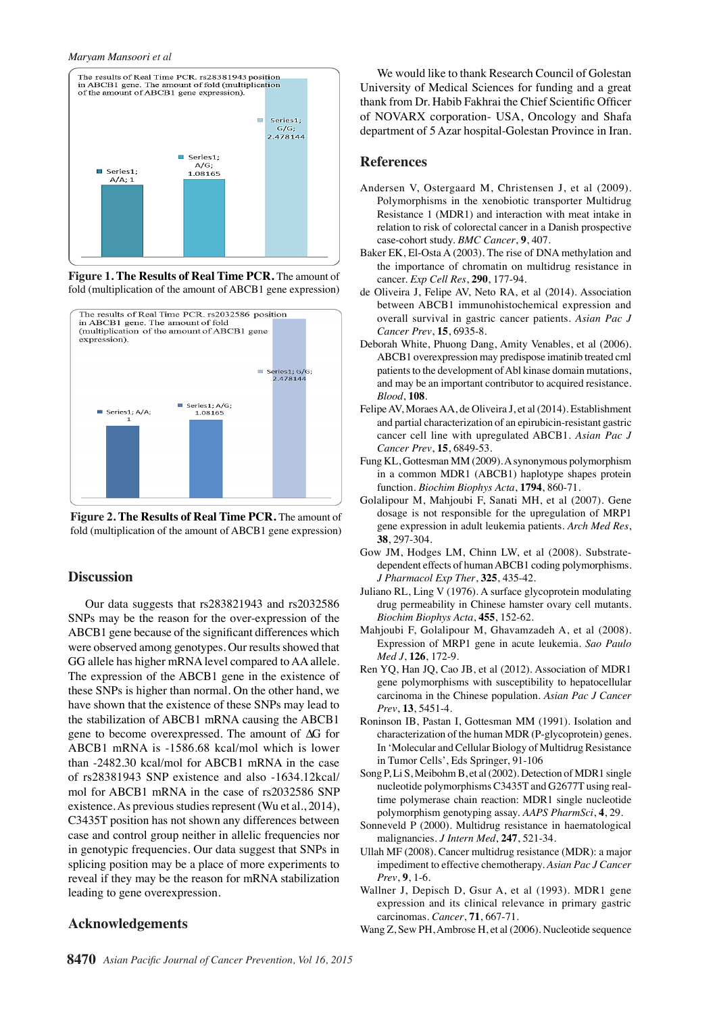

**Figure 1. The Results of Real Time PCR.** The amount of fold (multiplication of the amount of ABCB1 gene expression)



**Figure 2. The Results of Real Time PCR.** The amount of fold (multiplication of the amount of ABCB1 gene expression)

#### **Discussion**

Our data suggests that rs283821943 and rs2032586 SNPs may be the reason for the over-expression of the ABCB1 gene because of the significant differences which were observed among genotypes. Our results showed that GG allele has higher mRNA level compared to AA allele. The expression of the ABCB1 gene in the existence of these SNPs is higher than normal. On the other hand, we have shown that the existence of these SNPs may lead to the stabilization of ABCB1 mRNA causing the ABCB1 gene to become overexpressed. The amount of ∆G for ABCB1 mRNA is -1586.68 kcal/mol which is lower than -2482.30 kcal/mol for ABCB1 mRNA in the case of rs28381943 SNP existence and also -1634.12kcal/ mol for ABCB1 mRNA in the case of rs2032586 SNP existence. As previous studies represent (Wu et al., 2014), C3435T position has not shown any differences between case and control group neither in allelic frequencies nor in genotypic frequencies. Our data suggest that SNPs in splicing position may be a place of more experiments to reveal if they may be the reason for mRNA stabilization leading to gene overexpression.

### **Acknowledgements**

We would like to thank Research Council of Golestan University of Medical Sciences for funding and a great thank from Dr. Habib Fakhrai the Chief Scientific Officer of NOVARX corporation- USA, Oncology and Shafa department of 5 Azar hospital-Golestan Province in Iran.

#### **References**

- Andersen V, Ostergaard M, Christensen J, et al (2009). Polymorphisms in the xenobiotic transporter Multidrug Resistance 1 (MDR1) and interaction with meat intake in relation to risk of colorectal cancer in a Danish prospective case-cohort study. *BMC Cancer*, **9**, 407.
- Baker EK, El-Osta A (2003). The rise of DNA methylation and the importance of chromatin on multidrug resistance in cancer. *Exp Cell Res*, **290**, 177-94.
- de Oliveira J, Felipe AV, Neto RA, et al (2014). Association between ABCB1 immunohistochemical expression and overall survival in gastric cancer patients. *Asian Pac J Cancer Prev*, **15**, 6935-8.
- Deborah White, Phuong Dang, Amity Venables, et al (2006). ABCB1 overexpression may predispose imatinib treated cml patients to the development of Abl kinase domain mutations, and may be an important contributor to acquired resistance. *Blood*, **108**.
- Felipe AV, Moraes AA, de Oliveira J, et al (2014). Establishment and partial characterization of an epirubicin-resistant gastric cancer cell line with upregulated ABCB1. *Asian Pac J Cancer Prev*, **15**, 6849-53.
- Fung KL, Gottesman MM (2009). A synonymous polymorphism in a common MDR1 (ABCB1) haplotype shapes protein function. *Biochim Biophys Acta*, **1794**, 860-71.
- Golalipour M, Mahjoubi F, Sanati MH, et al (2007). Gene dosage is not responsible for the upregulation of MRP1 gene expression in adult leukemia patients. *Arch Med Res*, **38**, 297-304.
- Gow JM, Hodges LM, Chinn LW, et al (2008). Substratedependent effects of human ABCB1 coding polymorphisms. *J Pharmacol Exp Ther*, **325**, 435-42.
- Juliano RL, Ling V (1976). A surface glycoprotein modulating drug permeability in Chinese hamster ovary cell mutants. *Biochim Biophys Acta*, **455**, 152-62.
- Mahjoubi F, Golalipour M, Ghavamzadeh A, et al (2008). Expression of MRP1 gene in acute leukemia. *Sao Paulo Med J*, **126**, 172-9.
- Ren YQ, Han JQ, Cao JB, et al (2012). Association of MDR1 gene polymorphisms with susceptibility to hepatocellular carcinoma in the Chinese population. *Asian Pac J Cancer Prev*, **13**, 5451-4.
- Roninson IB, Pastan I, Gottesman MM (1991). Isolation and characterization of the human MDR (P-glycoprotein) genes. In 'Molecular and Cellular Biology of Multidrug Resistance in Tumor Cells', Eds Springer, 91-106
- Song P, Li S, Meibohm B, et al (2002). Detection of MDR1 single nucleotide polymorphisms C3435T and G2677T using realtime polymerase chain reaction: MDR1 single nucleotide polymorphism genotyping assay. *AAPS PharmSci*, **4**, 29.
- Sonneveld P (2000). Multidrug resistance in haematological malignancies. *J Intern Med*, **247**, 521-34.
- Ullah MF (2008). Cancer multidrug resistance (MDR): a major impediment to effective chemotherapy. *Asian Pac J Cancer Prev*, **9**, 1-6.
- Wallner J, Depisch D, Gsur A, et al (1993). MDR1 gene expression and its clinical relevance in primary gastric carcinomas. *Cancer*, **71**, 667-71.
- Wang Z, Sew PH, Ambrose H, et al (2006). Nucleotide sequence